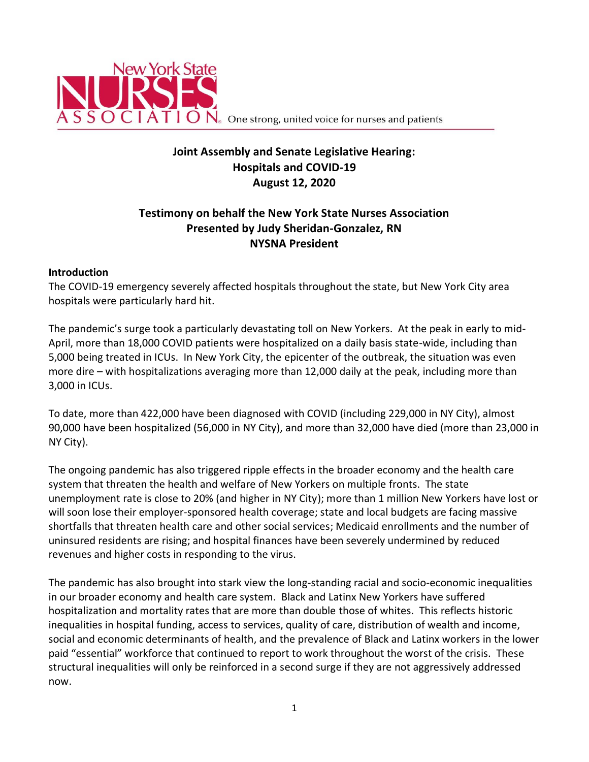

 $\mathbb{C}$   $\mathsf{I}$   $\mathsf{A}$   $\mathsf{T}$   $\mathsf{I}$   $\mathsf{O}$   $\mathsf{N}_\circ$  One strong, united voice for nurses and patients

# **Joint Assembly and Senate Legislative Hearing: Hospitals and COVID-19 August 12, 2020**

# **Testimony on behalf the New York State Nurses Association Presented by Judy Sheridan-Gonzalez, RN NYSNA President**

#### **Introduction**

The COVID-19 emergency severely affected hospitals throughout the state, but New York City area hospitals were particularly hard hit.

The pandemic's surge took a particularly devastating toll on New Yorkers. At the peak in early to mid-April, more than 18,000 COVID patients were hospitalized on a daily basis state-wide, including than 5,000 being treated in ICUs. In New York City, the epicenter of the outbreak, the situation was even more dire – with hospitalizations averaging more than 12,000 daily at the peak, including more than 3,000 in ICUs.

To date, more than 422,000 have been diagnosed with COVID (including 229,000 in NY City), almost 90,000 have been hospitalized (56,000 in NY City), and more than 32,000 have died (more than 23,000 in NY City).

The ongoing pandemic has also triggered ripple effects in the broader economy and the health care system that threaten the health and welfare of New Yorkers on multiple fronts. The state unemployment rate is close to 20% (and higher in NY City); more than 1 million New Yorkers have lost or will soon lose their employer-sponsored health coverage; state and local budgets are facing massive shortfalls that threaten health care and other social services; Medicaid enrollments and the number of uninsured residents are rising; and hospital finances have been severely undermined by reduced revenues and higher costs in responding to the virus.

The pandemic has also brought into stark view the long-standing racial and socio-economic inequalities in our broader economy and health care system. Black and Latinx New Yorkers have suffered hospitalization and mortality rates that are more than double those of whites. This reflects historic inequalities in hospital funding, access to services, quality of care, distribution of wealth and income, social and economic determinants of health, and the prevalence of Black and Latinx workers in the lower paid "essential" workforce that continued to report to work throughout the worst of the crisis. These structural inequalities will only be reinforced in a second surge if they are not aggressively addressed now.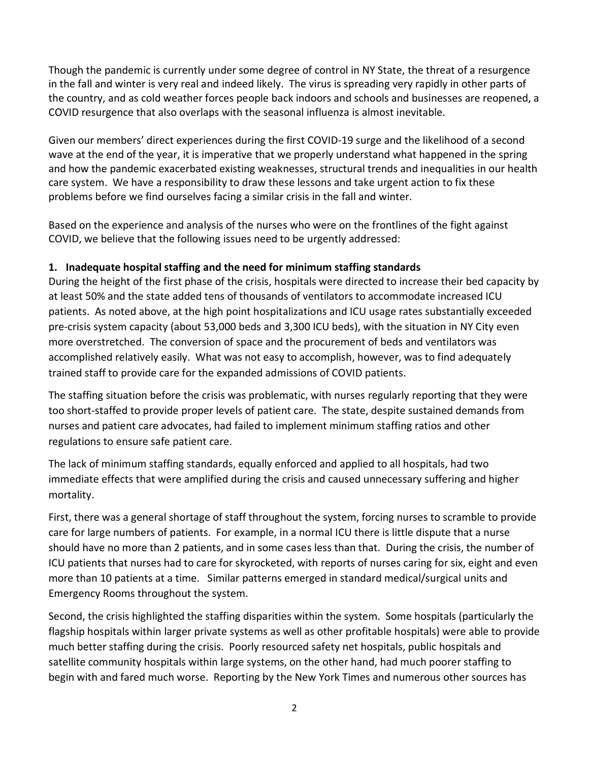Though the pandemic is currently under some degree of control in NY State, the threat of a resurgence in the fall and winter is very real and indeed likely. The virus is spreading very rapidly in other parts of the country, and as cold weather forces people back indoors and schools and businesses are reopened, a COVID resurgence that also overlaps with the seasonal influenza is almost inevitable.

Given our members' direct experiences during the first COVID-19 surge and the likelihood of a second wave at the end of the year, it is imperative that we properly understand what happened in the spring and how the pandemic exacerbated existing weaknesses, structural trends and inequalities in our health care system. We have a responsibility to draw these lessons and take urgent action to fix these problems before we find ourselves facing a similar crisis in the fall and winter.

Based on the experience and analysis of the nurses who were on the frontlines of the fight against COVID, we believe that the following issues need to be urgently addressed:

#### **1. Inadequate hospital staffing and the need for minimum staffing standards**

During the height of the first phase of the crisis, hospitals were directed to increase their bed capacity by at least 50% and the state added tens of thousands of ventilators to accommodate increased ICU patients. As noted above, at the high point hospitalizations and ICU usage rates substantially exceeded pre-crisis system capacity (about 53,000 beds and 3,300 ICU beds), with the situation in NY City even more overstretched. The conversion of space and the procurement of beds and ventilators was accomplished relatively easily. What was not easy to accomplish, however, was to find adequately trained staff to provide care for the expanded admissions of COVID patients.

The staffing situation before the crisis was problematic, with nurses regularly reporting that they were too short-staffed to provide proper levels of patient care. The state, despite sustained demands from nurses and patient care advocates, had failed to implement minimum staffing ratios and other regulations to ensure safe patient care.

The lack of minimum staffing standards, equally enforced and applied to all hospitals, had two immediate effects that were amplified during the crisis and caused unnecessary suffering and higher mortality.

First, there was a general shortage of staff throughout the system, forcing nurses to scramble to provide care for large numbers of patients. For example, in a normal ICU there is little dispute that a nurse should have no more than 2 patients, and in some cases less than that. During the crisis, the number of ICU patients that nurses had to care for skyrocketed, with reports of nurses caring for six, eight and even more than 10 patients at a time. Similar patterns emerged in standard medical/surgical units and Emergency Rooms throughout the system.

Second, the crisis highlighted the staffing disparities within the system. Some hospitals (particularly the flagship hospitals within larger private systems as well as other profitable hospitals) were able to provide much better staffing during the crisis. Poorly resourced safety net hospitals, public hospitals and satellite community hospitals within large systems, on the other hand, had much poorer staffing to begin with and fared much worse. Reporting by the New York Times and numerous other sources has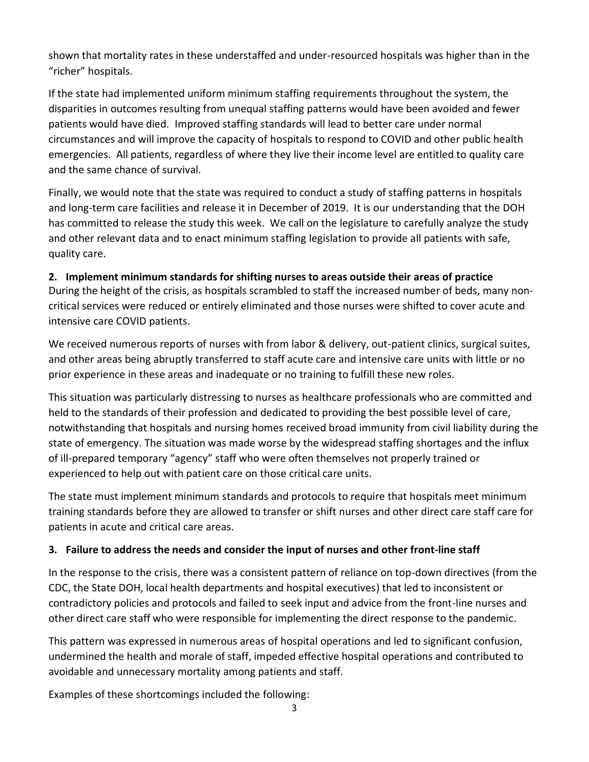shown that mortality rates in these understaffed and under-resourced hospitals was higher than in the "richer" hospitals.

If the state had implemented uniform minimum staffing requirements throughout the system, the disparities in outcomes resulting from unequal staffing patterns would have been avoided and fewer patients would have died. Improved staffing standards will lead to better care under normal circumstances and will improve the capacity of hospitals to respond to COVID and other public health emergencies. All patients, regardless of where they live their income level are entitled to quality care and the same chance of survival.

Finally, we would note that the state was required to conduct a study of staffing patterns in hospitals and long-term care facilities and release it in December of 2019. It is our understanding that the DOH has committed to release the study this week. We call on the legislature to carefully analyze the study and other relevant data and to enact minimum staffing legislation to provide all patients with safe, quality care.

#### **2. Implement minimum standards for shifting nurses to areas outside their areas of practice**

During the height of the crisis, as hospitals scrambled to staff the increased number of beds, many noncritical services were reduced or entirely eliminated and those nurses were shifted to cover acute and intensive care COVID patients.

We received numerous reports of nurses with from labor & delivery, out-patient clinics, surgical suites, and other areas being abruptly transferred to staff acute care and intensive care units with little or no prior experience in these areas and inadequate or no training to fulfill these new roles.

This situation was particularly distressing to nurses as healthcare professionals who are committed and held to the standards of their profession and dedicated to providing the best possible level of care, notwithstanding that hospitals and nursing homes received broad immunity from civil liability during the state of emergency. The situation was made worse by the widespread staffing shortages and the influx of ill-prepared temporary "agency" staff who were often themselves not properly trained or experienced to help out with patient care on those critical care units.

The state must implement minimum standards and protocols to require that hospitals meet minimum training standards before they are allowed to transfer or shift nurses and other direct care staff care for patients in acute and critical care areas.

## **3. Failure to address the needs and consider the input of nurses and other front-line staff**

In the response to the crisis, there was a consistent pattern of reliance on top-down directives (from the CDC, the State DOH, local health departments and hospital executives) that led to inconsistent or contradictory policies and protocols and failed to seek input and advice from the front-line nurses and other direct care staff who were responsible for implementing the direct response to the pandemic.

This pattern was expressed in numerous areas of hospital operations and led to significant confusion, undermined the health and morale of staff, impeded effective hospital operations and contributed to avoidable and unnecessary mortality among patients and staff.

Examples of these shortcomings included the following: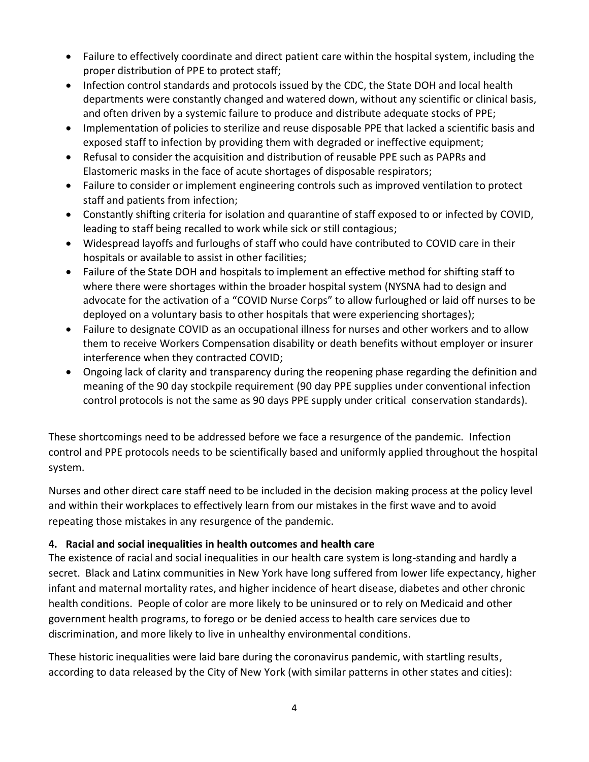- Failure to effectively coordinate and direct patient care within the hospital system, including the proper distribution of PPE to protect staff;
- Infection control standards and protocols issued by the CDC, the State DOH and local health departments were constantly changed and watered down, without any scientific or clinical basis, and often driven by a systemic failure to produce and distribute adequate stocks of PPE;
- Implementation of policies to sterilize and reuse disposable PPE that lacked a scientific basis and exposed staff to infection by providing them with degraded or ineffective equipment;
- Refusal to consider the acquisition and distribution of reusable PPE such as PAPRs and Elastomeric masks in the face of acute shortages of disposable respirators;
- Failure to consider or implement engineering controls such as improved ventilation to protect staff and patients from infection;
- Constantly shifting criteria for isolation and quarantine of staff exposed to or infected by COVID, leading to staff being recalled to work while sick or still contagious;
- Widespread layoffs and furloughs of staff who could have contributed to COVID care in their hospitals or available to assist in other facilities;
- Failure of the State DOH and hospitals to implement an effective method for shifting staff to where there were shortages within the broader hospital system (NYSNA had to design and advocate for the activation of a "COVID Nurse Corps" to allow furloughed or laid off nurses to be deployed on a voluntary basis to other hospitals that were experiencing shortages);
- Failure to designate COVID as an occupational illness for nurses and other workers and to allow them to receive Workers Compensation disability or death benefits without employer or insurer interference when they contracted COVID;
- Ongoing lack of clarity and transparency during the reopening phase regarding the definition and meaning of the 90 day stockpile requirement (90 day PPE supplies under conventional infection control protocols is not the same as 90 days PPE supply under critical conservation standards).

These shortcomings need to be addressed before we face a resurgence of the pandemic. Infection control and PPE protocols needs to be scientifically based and uniformly applied throughout the hospital system.

Nurses and other direct care staff need to be included in the decision making process at the policy level and within their workplaces to effectively learn from our mistakes in the first wave and to avoid repeating those mistakes in any resurgence of the pandemic.

## **4. Racial and social inequalities in health outcomes and health care**

The existence of racial and social inequalities in our health care system is long-standing and hardly a secret. Black and Latinx communities in New York have long suffered from lower life expectancy, higher infant and maternal mortality rates, and higher incidence of heart disease, diabetes and other chronic health conditions. People of color are more likely to be uninsured or to rely on Medicaid and other government health programs, to forego or be denied access to health care services due to discrimination, and more likely to live in unhealthy environmental conditions.

These historic inequalities were laid bare during the coronavirus pandemic, with startling results, according to data released by the City of New York (with similar patterns in other states and cities):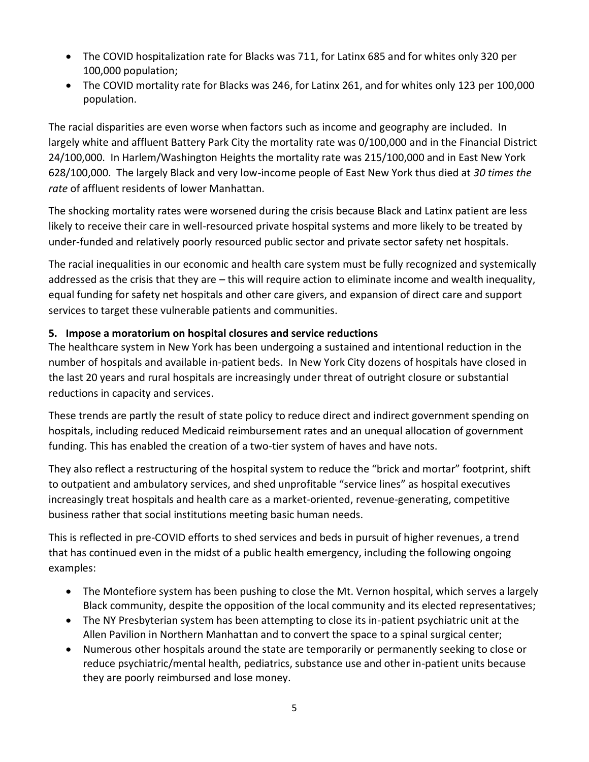- The COVID hospitalization rate for Blacks was 711, for Latinx 685 and for whites only 320 per 100,000 population;
- The COVID mortality rate for Blacks was 246, for Latinx 261, and for whites only 123 per 100,000 population.

The racial disparities are even worse when factors such as income and geography are included. In largely white and affluent Battery Park City the mortality rate was 0/100,000 and in the Financial District 24/100,000. In Harlem/Washington Heights the mortality rate was 215/100,000 and in East New York 628/100,000. The largely Black and very low-income people of East New York thus died at *30 times the rate* of affluent residents of lower Manhattan.

The shocking mortality rates were worsened during the crisis because Black and Latinx patient are less likely to receive their care in well-resourced private hospital systems and more likely to be treated by under-funded and relatively poorly resourced public sector and private sector safety net hospitals.

The racial inequalities in our economic and health care system must be fully recognized and systemically addressed as the crisis that they are – this will require action to eliminate income and wealth inequality, equal funding for safety net hospitals and other care givers, and expansion of direct care and support services to target these vulnerable patients and communities.

## **5. Impose a moratorium on hospital closures and service reductions**

The healthcare system in New York has been undergoing a sustained and intentional reduction in the number of hospitals and available in-patient beds. In New York City dozens of hospitals have closed in the last 20 years and rural hospitals are increasingly under threat of outright closure or substantial reductions in capacity and services.

These trends are partly the result of state policy to reduce direct and indirect government spending on hospitals, including reduced Medicaid reimbursement rates and an unequal allocation of government funding. This has enabled the creation of a two-tier system of haves and have nots.

They also reflect a restructuring of the hospital system to reduce the "brick and mortar" footprint, shift to outpatient and ambulatory services, and shed unprofitable "service lines" as hospital executives increasingly treat hospitals and health care as a market-oriented, revenue-generating, competitive business rather that social institutions meeting basic human needs.

This is reflected in pre-COVID efforts to shed services and beds in pursuit of higher revenues, a trend that has continued even in the midst of a public health emergency, including the following ongoing examples:

- The Montefiore system has been pushing to close the Mt. Vernon hospital, which serves a largely Black community, despite the opposition of the local community and its elected representatives;
- The NY Presbyterian system has been attempting to close its in-patient psychiatric unit at the Allen Pavilion in Northern Manhattan and to convert the space to a spinal surgical center;
- Numerous other hospitals around the state are temporarily or permanently seeking to close or reduce psychiatric/mental health, pediatrics, substance use and other in-patient units because they are poorly reimbursed and lose money.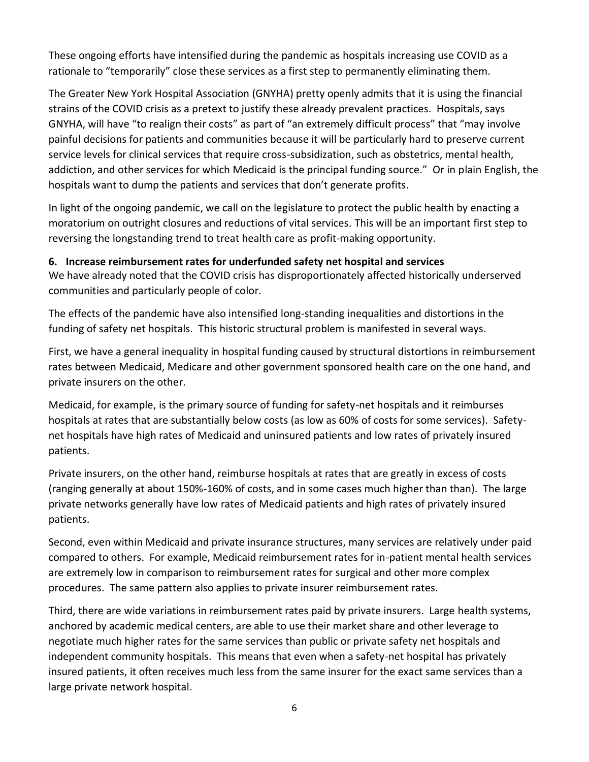These ongoing efforts have intensified during the pandemic as hospitals increasing use COVID as a rationale to "temporarily" close these services as a first step to permanently eliminating them.

The Greater New York Hospital Association (GNYHA) pretty openly admits that it is using the financial strains of the COVID crisis as a pretext to justify these already prevalent practices. Hospitals, says GNYHA, will have "to realign their costs" as part of "an extremely difficult process" that "may involve painful decisions for patients and communities because it will be particularly hard to preserve current service levels for clinical services that require cross-subsidization, such as obstetrics, mental health, addiction, and other services for which Medicaid is the principal funding source." Or in plain English, the hospitals want to dump the patients and services that don't generate profits.

In light of the ongoing pandemic, we call on the legislature to protect the public health by enacting a moratorium on outright closures and reductions of vital services. This will be an important first step to reversing the longstanding trend to treat health care as profit-making opportunity.

#### **6. Increase reimbursement rates for underfunded safety net hospital and services**

We have already noted that the COVID crisis has disproportionately affected historically underserved communities and particularly people of color.

The effects of the pandemic have also intensified long-standing inequalities and distortions in the funding of safety net hospitals. This historic structural problem is manifested in several ways.

First, we have a general inequality in hospital funding caused by structural distortions in reimbursement rates between Medicaid, Medicare and other government sponsored health care on the one hand, and private insurers on the other.

Medicaid, for example, is the primary source of funding for safety-net hospitals and it reimburses hospitals at rates that are substantially below costs (as low as 60% of costs for some services). Safetynet hospitals have high rates of Medicaid and uninsured patients and low rates of privately insured patients.

Private insurers, on the other hand, reimburse hospitals at rates that are greatly in excess of costs (ranging generally at about 150%-160% of costs, and in some cases much higher than than). The large private networks generally have low rates of Medicaid patients and high rates of privately insured patients.

Second, even within Medicaid and private insurance structures, many services are relatively under paid compared to others. For example, Medicaid reimbursement rates for in-patient mental health services are extremely low in comparison to reimbursement rates for surgical and other more complex procedures. The same pattern also applies to private insurer reimbursement rates.

Third, there are wide variations in reimbursement rates paid by private insurers. Large health systems, anchored by academic medical centers, are able to use their market share and other leverage to negotiate much higher rates for the same services than public or private safety net hospitals and independent community hospitals. This means that even when a safety-net hospital has privately insured patients, it often receives much less from the same insurer for the exact same services than a large private network hospital.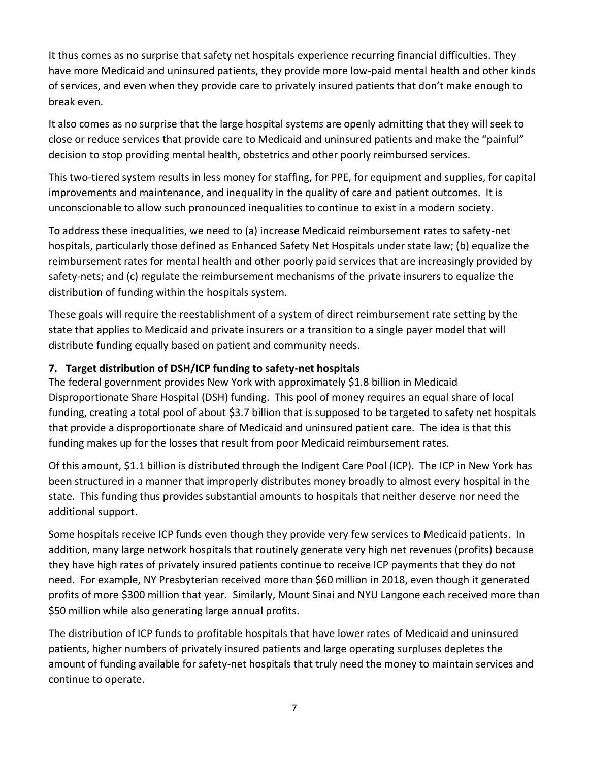It thus comes as no surprise that safety net hospitals experience recurring financial difficulties. They have more Medicaid and uninsured patients, they provide more low-paid mental health and other kinds of services, and even when they provide care to privately insured patients that don't make enough to break even.

It also comes as no surprise that the large hospital systems are openly admitting that they will seek to close or reduce services that provide care to Medicaid and uninsured patients and make the "painful" decision to stop providing mental health, obstetrics and other poorly reimbursed services.

This two-tiered system results in less money for staffing, for PPE, for equipment and supplies, for capital improvements and maintenance, and inequality in the quality of care and patient outcomes. It is unconscionable to allow such pronounced inequalities to continue to exist in a modern society.

To address these inequalities, we need to (a) increase Medicaid reimbursement rates to safety-net hospitals, particularly those defined as Enhanced Safety Net Hospitals under state law; (b) equalize the reimbursement rates for mental health and other poorly paid services that are increasingly provided by safety-nets; and (c) regulate the reimbursement mechanisms of the private insurers to equalize the distribution of funding within the hospitals system.

These goals will require the reestablishment of a system of direct reimbursement rate setting by the state that applies to Medicaid and private insurers or a transition to a single payer model that will distribute funding equally based on patient and community needs.

## **7. Target distribution of DSH/ICP funding to safety-net hospitals**

The federal government provides New York with approximately \$1.8 billion in Medicaid Disproportionate Share Hospital (DSH) funding. This pool of money requires an equal share of local funding, creating a total pool of about \$3.7 billion that is supposed to be targeted to safety net hospitals that provide a disproportionate share of Medicaid and uninsured patient care. The idea is that this funding makes up for the losses that result from poor Medicaid reimbursement rates.

Of this amount, \$1.1 billion is distributed through the Indigent Care Pool (ICP). The ICP in New York has been structured in a manner that improperly distributes money broadly to almost every hospital in the state. This funding thus provides substantial amounts to hospitals that neither deserve nor need the additional support.

Some hospitals receive ICP funds even though they provide very few services to Medicaid patients. In addition, many large network hospitals that routinely generate very high net revenues (profits) because they have high rates of privately insured patients continue to receive ICP payments that they do not need. For example, NY Presbyterian received more than \$60 million in 2018, even though it generated profits of more \$300 million that year. Similarly, Mount Sinai and NYU Langone each received more than \$50 million while also generating large annual profits.

The distribution of ICP funds to profitable hospitals that have lower rates of Medicaid and uninsured patients, higher numbers of privately insured patients and large operating surpluses depletes the amount of funding available for safety-net hospitals that truly need the money to maintain services and continue to operate.